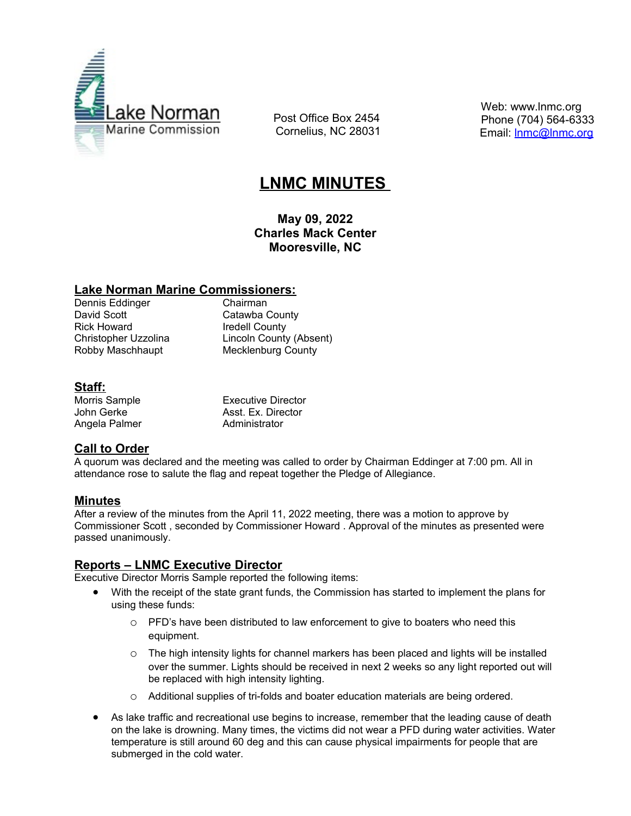

 Post Office Box 2454 Cornelius, NC 28031  Web: www.lnmc.org Phone (704) 564-6333 Email: [lnmc@lnmc.org](mailto:lnmc@lnmc.org)

# **LNMC MINUTES**

**May 09, 2022 Charles Mack Center Mooresville, NC**

#### **Lake Norman Marine Commissioners:**

Dennis Eddinger Chairman Rick Howard **Iredell County** 

Catawba County Christopher Uzzolina Lincoln County (Absent) Robby Maschhaupt Mecklenburg County

# **Staff:**

Angela Palmer Administrator

Morris Sample **Executive Director** John Gerke **Asst. Ex. Director** 

# **Call to Order**

A quorum was declared and the meeting was called to order by Chairman Eddinger at 7:00 pm. All in attendance rose to salute the flag and repeat together the Pledge of Allegiance.

# **Minutes**

After a review of the minutes from the April 11, 2022 meeting, there was a motion to approve by Commissioner Scott , seconded by Commissioner Howard . Approval of the minutes as presented were passed unanimously.

## **Reports – LNMC Executive Director**

Executive Director Morris Sample reported the following items:

- With the receipt of the state grant funds, the Commission has started to implement the plans for using these funds:
	- $\circ$  PFD's have been distributed to law enforcement to give to boaters who need this equipment.
	- $\circ$  The high intensity lights for channel markers has been placed and lights will be installed over the summer. Lights should be received in next 2 weeks so any light reported out will be replaced with high intensity lighting.
	- o Additional supplies of tri-folds and boater education materials are being ordered.
- As lake traffic and recreational use begins to increase, remember that the leading cause of death on the lake is drowning. Many times, the victims did not wear a PFD during water activities. Water temperature is still around 60 deg and this can cause physical impairments for people that are submerged in the cold water.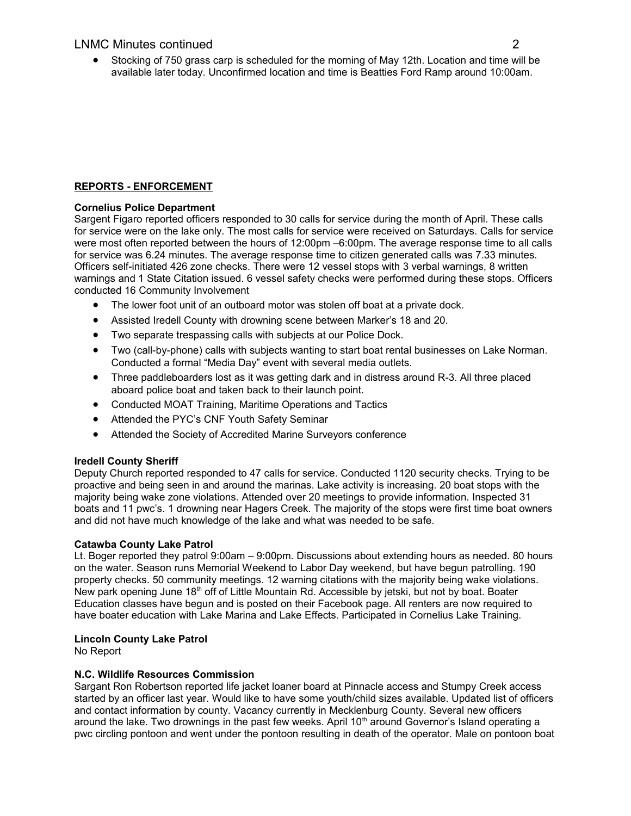Stocking of 750 grass carp is scheduled for the morning of May 12th. Location and time will be available later today. Unconfirmed location and time is Beatties Ford Ramp around 10:00am.

#### **REPORTS - ENFORCEMENT**

#### **Cornelius Police Department**

Sargent Figaro reported officers responded to 30 calls for service during the month of April. These calls for service were on the lake only. The most calls for service were received on Saturdays. Calls for service were most often reported between the hours of 12:00pm –6:00pm. The average response time to all calls for service was 6.24 minutes. The average response time to citizen generated calls was 7.33 minutes. Officers self-initiated 426 zone checks. There were 12 vessel stops with 3 verbal warnings, 8 written warnings and 1 State Citation issued. 6 vessel safety checks were performed during these stops. Officers conducted 16 Community Involvement

- The lower foot unit of an outboard motor was stolen off boat at a private dock.
- Assisted Iredell County with drowning scene between Marker's 18 and 20.
- Two separate trespassing calls with subjects at our Police Dock.
- Two (call-by-phone) calls with subjects wanting to start boat rental businesses on Lake Norman. Conducted a formal "Media Day" event with several media outlets.
- Three paddleboarders lost as it was getting dark and in distress around R-3. All three placed aboard police boat and taken back to their launch point.
- Conducted MOAT Training, Maritime Operations and Tactics
- Attended the PYC's CNF Youth Safety Seminar
- Attended the Society of Accredited Marine Surveyors conference

#### **Iredell County Sheriff**

Deputy Church reported responded to 47 calls for service. Conducted 1120 security checks. Trying to be proactive and being seen in and around the marinas. Lake activity is increasing. 20 boat stops with the majority being wake zone violations. Attended over 20 meetings to provide information. Inspected 31 boats and 11 pwc's. 1 drowning near Hagers Creek. The majority of the stops were first time boat owners and did not have much knowledge of the lake and what was needed to be safe.

#### **Catawba County Lake Patrol**

Lt. Boger reported they patrol 9:00am – 9:00pm. Discussions about extending hours as needed. 80 hours on the water. Season runs Memorial Weekend to Labor Day weekend, but have begun patrolling. 190 property checks. 50 community meetings. 12 warning citations with the majority being wake violations. New park opening June  $18<sup>th</sup>$  off of Little Mountain Rd. Accessible by jetski, but not by boat. Boater Education classes have begun and is posted on their Facebook page. All renters are now required to have boater education with Lake Marina and Lake Effects. Participated in Cornelius Lake Training.

#### **Lincoln County Lake Patrol**

No Report

#### **N.C. Wildlife Resources Commission**

Sargant Ron Robertson reported life jacket loaner board at Pinnacle access and Stumpy Creek access started by an officer last year. Would like to have some youth/child sizes available. Updated list of officers and contact information by county. Vacancy currently in Mecklenburg County. Several new officers around the lake. Two drownings in the past few weeks. April 10<sup>th</sup> around Governor's Island operating a pwc circling pontoon and went under the pontoon resulting in death of the operator. Male on pontoon boat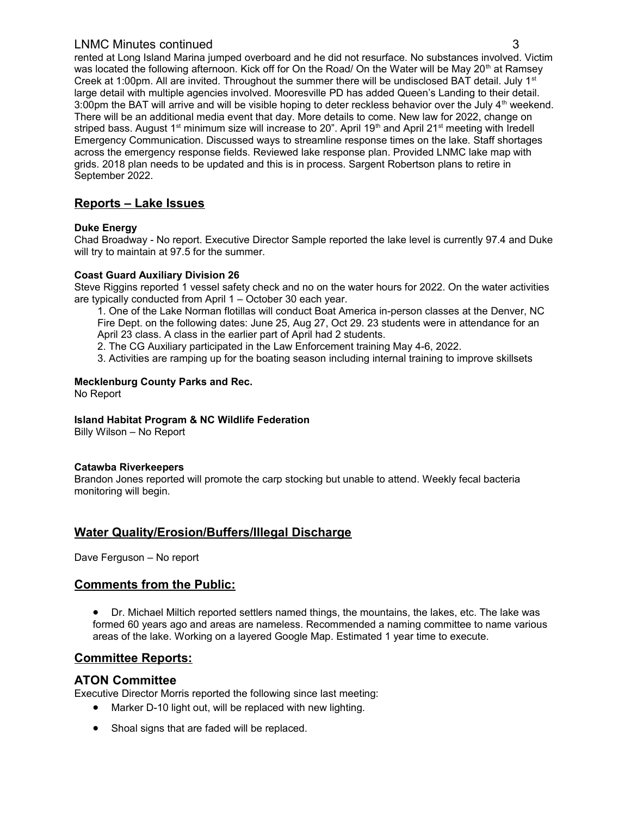## LNMC Minutes continued 3

rented at Long Island Marina jumped overboard and he did not resurface. No substances involved. Victim was located the following afternoon. Kick off for On the Road/ On the Water will be May 20<sup>th</sup> at Ramsey Creek at 1:00pm. All are invited. Throughout the summer there will be undisclosed BAT detail. July 1<sup>st</sup> large detail with multiple agencies involved. Mooresville PD has added Queen's Landing to their detail. 3:00pm the BAT will arrive and will be visible hoping to deter reckless behavior over the July  $4<sup>th</sup>$  weekend. There will be an additional media event that day. More details to come. New law for 2022, change on striped bass. August 1<sup>st</sup> minimum size will increase to 20". April 19<sup>th</sup> and April 21<sup>st</sup> meeting with Iredell Emergency Communication. Discussed ways to streamline response times on the lake. Staff shortages across the emergency response fields. Reviewed lake response plan. Provided LNMC lake map with grids. 2018 plan needs to be updated and this is in process. Sargent Robertson plans to retire in September 2022.

# **Reports – Lake Issues**

#### **Duke Energy**

Chad Broadway - No report. Executive Director Sample reported the lake level is currently 97.4 and Duke will try to maintain at 97.5 for the summer.

#### **Coast Guard Auxiliary Division 26**

Steve Riggins reported 1 vessel safety check and no on the water hours for 2022. On the water activities are typically conducted from April 1 – October 30 each year.

1. One of the Lake Norman flotillas will conduct Boat America in-person classes at the Denver, NC Fire Dept. on the following dates: June 25, Aug 27, Oct 29. 23 students were in attendance for an April 23 class. A class in the earlier part of April had 2 students.

2. The CG Auxiliary participated in the Law Enforcement training May 4-6, 2022.

3. Activities are ramping up for the boating season including internal training to improve skillsets

#### **Mecklenburg County Parks and Rec.**

No Report

#### **Island Habitat Program & NC Wildlife Federation**

Billy Wilson – No Report

#### **Catawba Riverkeepers**

Brandon Jones reported will promote the carp stocking but unable to attend. Weekly fecal bacteria monitoring will begin.

# **Water Quality/Erosion/Buffers/Illegal Discharge**

Dave Ferguson – No report

## **Comments from the Public:**

 Dr. Michael Miltich reported settlers named things, the mountains, the lakes, etc. The lake was formed 60 years ago and areas are nameless. Recommended a naming committee to name various areas of the lake. Working on a layered Google Map. Estimated 1 year time to execute.

## **Committee Reports:**

## **ATON Committee**

Executive Director Morris reported the following since last meeting:

- Marker D-10 light out, will be replaced with new lighting.
- Shoal signs that are faded will be replaced.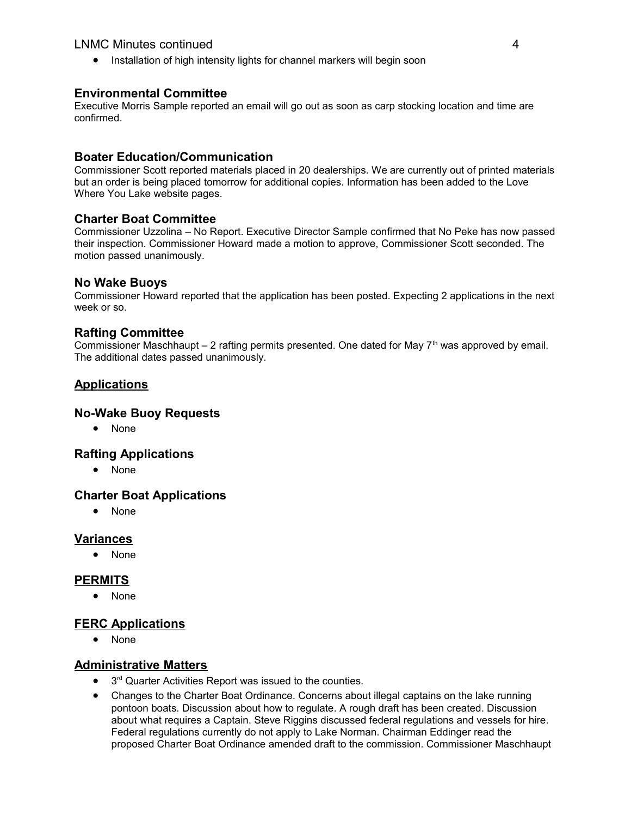## LNMC Minutes continued 4

**•** Installation of high intensity lights for channel markers will begin soon

# **Environmental Committee**

Executive Morris Sample reported an email will go out as soon as carp stocking location and time are confirmed.

## **Boater Education/Communication**

Commissioner Scott reported materials placed in 20 dealerships. We are currently out of printed materials but an order is being placed tomorrow for additional copies. Information has been added to the Love Where You Lake website pages.

## **Charter Boat Committee**

Commissioner Uzzolina – No Report. Executive Director Sample confirmed that No Peke has now passed their inspection. Commissioner Howard made a motion to approve, Commissioner Scott seconded. The motion passed unanimously.

## **No Wake Buoys**

Commissioner Howard reported that the application has been posted. Expecting 2 applications in the next week or so.

# **Rafting Committee**

Commissioner Maschhaupt – 2 rafting permits presented. One dated for May  $7<sup>th</sup>$  was approved by email. The additional dates passed unanimously.

# **Applications**

## **No-Wake Buoy Requests**

• None

## **Rafting Applications**

• None

## **Charter Boat Applications**

• None

## **Variances**

• None

## **PERMITS**

• None

## **FERC Applications**

• None

## **Administrative Matters**

- 3<sup>rd</sup> Quarter Activities Report was issued to the counties.
- Changes to the Charter Boat Ordinance. Concerns about illegal captains on the lake running pontoon boats. Discussion about how to regulate. A rough draft has been created. Discussion about what requires a Captain. Steve Riggins discussed federal regulations and vessels for hire. Federal regulations currently do not apply to Lake Norman. Chairman Eddinger read the proposed Charter Boat Ordinance amended draft to the commission. Commissioner Maschhaupt